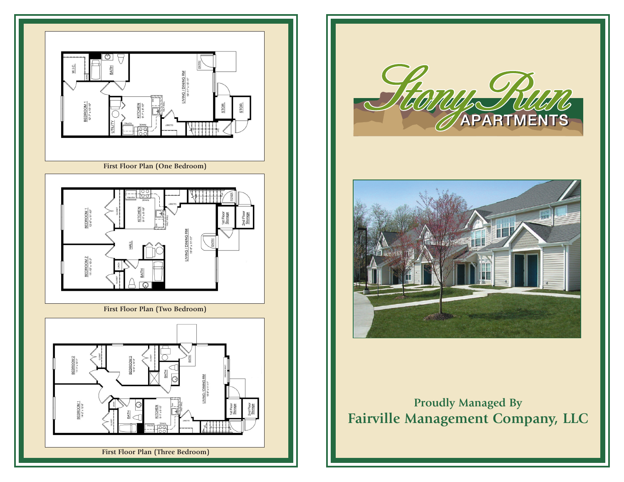



**Proudly Managed By Fairville Management Company, LLC**